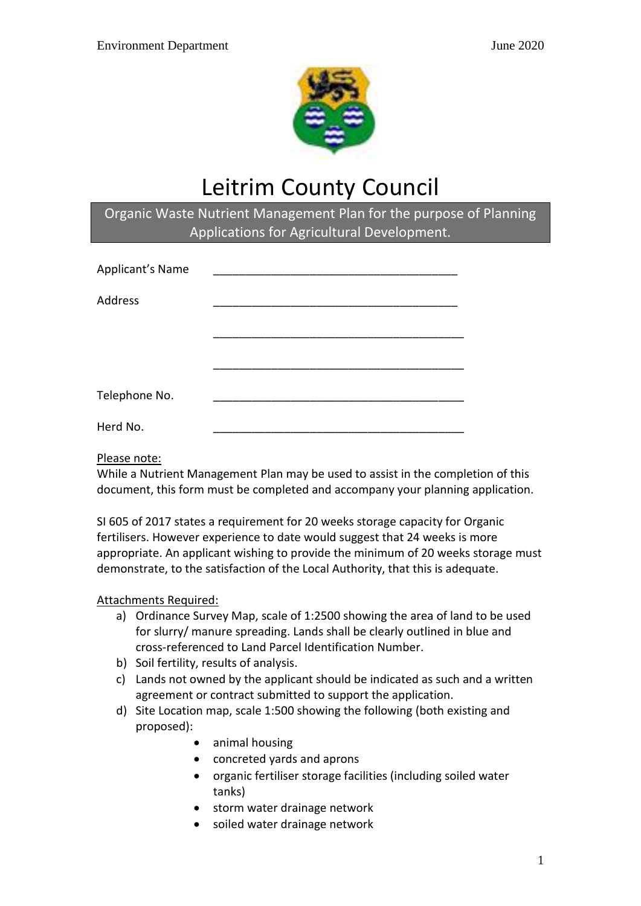

# Leitrim County Council

# Organic Waste Nutrient Management Plan for the purpose of Planning Applications for Agricultural Development.

| Applicant's Name |  |
|------------------|--|
| Address          |  |
|                  |  |
|                  |  |
| Telephone No.    |  |
| Herd No.         |  |

## Please note:

While a Nutrient Management Plan may be used to assist in the completion of this document, this form must be completed and accompany your planning application.

SI 605 of 2017 states a requirement for 20 weeks storage capacity for Organic fertilisers. However experience to date would suggest that 24 weeks is more appropriate. An applicant wishing to provide the minimum of 20 weeks storage must demonstrate, to the satisfaction of the Local Authority, that this is adequate.

## Attachments Required:

- a) Ordinance Survey Map, scale of 1:2500 showing the area of land to be used for slurry/ manure spreading. Lands shall be clearly outlined in blue and cross-referenced to Land Parcel Identification Number.
- b) Soil fertility, results of analysis.
- c) Lands not owned by the applicant should be indicated as such and a written agreement or contract submitted to support the application.
- d) Site Location map, scale 1:500 showing the following (both existing and proposed):
	- animal housing
	- concreted yards and aprons
	- organic fertiliser storage facilities (including soiled water tanks)
	- storm water drainage network
	- soiled water drainage network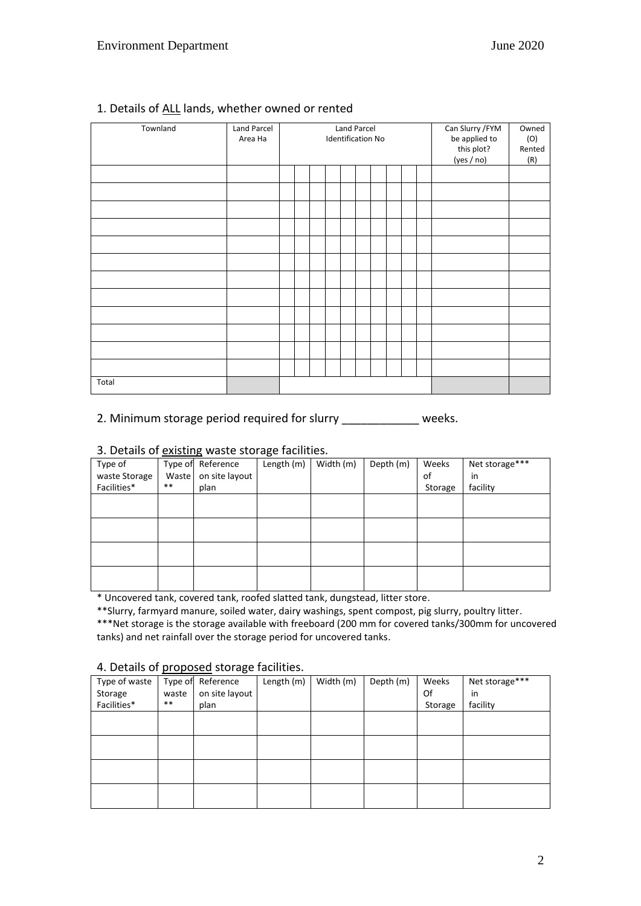| Townland | Land Parcel<br>Area Ha | <b>Land Parcel</b><br><b>Identification No</b> |  |  |  |  |  | Can Slurry / FYM<br>be applied to<br>this plot?<br>(yes / no) | Owned<br>(O)<br>Rented<br>(R) |  |  |
|----------|------------------------|------------------------------------------------|--|--|--|--|--|---------------------------------------------------------------|-------------------------------|--|--|
|          |                        |                                                |  |  |  |  |  |                                                               |                               |  |  |
|          |                        |                                                |  |  |  |  |  |                                                               |                               |  |  |
|          |                        |                                                |  |  |  |  |  |                                                               |                               |  |  |
|          |                        |                                                |  |  |  |  |  |                                                               |                               |  |  |
|          |                        |                                                |  |  |  |  |  |                                                               |                               |  |  |
|          |                        |                                                |  |  |  |  |  |                                                               |                               |  |  |
|          |                        |                                                |  |  |  |  |  |                                                               |                               |  |  |
|          |                        |                                                |  |  |  |  |  |                                                               |                               |  |  |
|          |                        |                                                |  |  |  |  |  |                                                               |                               |  |  |
|          |                        |                                                |  |  |  |  |  |                                                               |                               |  |  |
|          |                        |                                                |  |  |  |  |  |                                                               |                               |  |  |
|          |                        |                                                |  |  |  |  |  |                                                               |                               |  |  |
| Total    |                        |                                                |  |  |  |  |  |                                                               |                               |  |  |

## 1. Details of ALL lands, whether owned or rented

2. Minimum storage period required for slurry \_\_\_\_\_\_\_\_\_\_\_\_\_ weeks.

#### 3. Details of existing waste storage facilities.

| Type of       | Type of | Reference      | ັ<br>Length (m) | Width (m) | Depth (m) | Weeks   | Net storage*** |
|---------------|---------|----------------|-----------------|-----------|-----------|---------|----------------|
| waste Storage | Waste   | on site layout |                 |           |           | of      | in             |
| Facilities*   | $***$   | plan           |                 |           |           | Storage | facility       |
|               |         |                |                 |           |           |         |                |
|               |         |                |                 |           |           |         |                |
|               |         |                |                 |           |           |         |                |
|               |         |                |                 |           |           |         |                |
|               |         |                |                 |           |           |         |                |
|               |         |                |                 |           |           |         |                |
|               |         |                |                 |           |           |         |                |
|               |         |                |                 |           |           |         |                |

\* Uncovered tank, covered tank, roofed slatted tank, dungstead, litter store.

\*\*Slurry, farmyard manure, soiled water, dairy washings, spent compost, pig slurry, poultry litter. \*\*\*Net storage is the storage available with freeboard (200 mm for covered tanks/300mm for uncovered tanks) and net rainfall over the storage period for uncovered tanks.

#### 4. Details of proposed storage facilities.

|               |       | <u>P P P P P P P P P P P</u> P P |            |           |           |         |                |
|---------------|-------|----------------------------------|------------|-----------|-----------|---------|----------------|
| Type of waste |       | Type of Reference                | Length (m) | Width (m) | Depth (m) | Weeks   | Net storage*** |
| Storage       | waste | on site layout                   |            |           |           | Of      | in             |
| Facilities*   | **    | plan                             |            |           |           | Storage | facility       |
|               |       |                                  |            |           |           |         |                |
|               |       |                                  |            |           |           |         |                |
|               |       |                                  |            |           |           |         |                |
|               |       |                                  |            |           |           |         |                |
|               |       |                                  |            |           |           |         |                |
|               |       |                                  |            |           |           |         |                |
|               |       |                                  |            |           |           |         |                |
|               |       |                                  |            |           |           |         |                |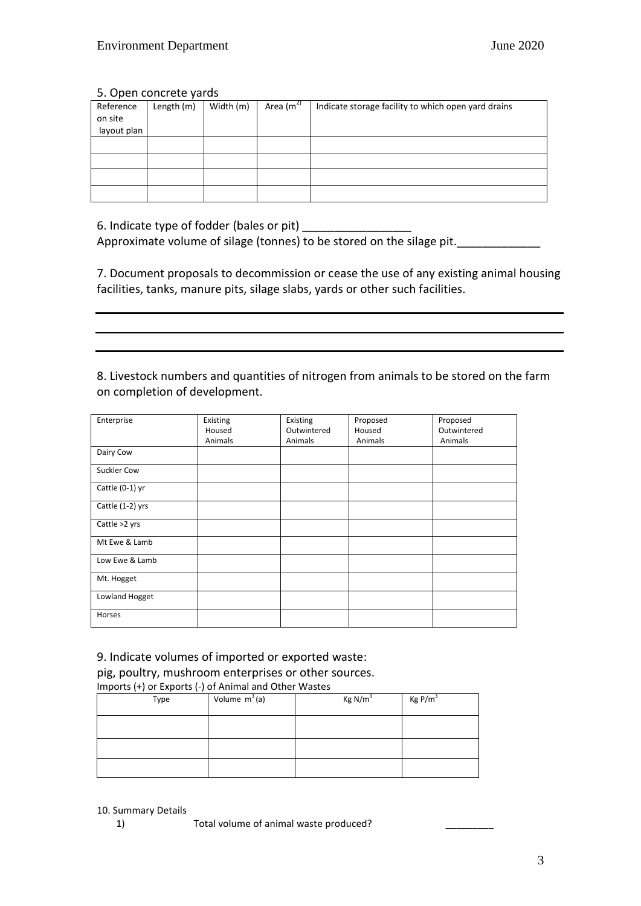#### 5. Open concrete yards

| Reference   | Length (m) | Width (m) | Area $(m^2)$ | Indicate storage facility to which open yard drains |
|-------------|------------|-----------|--------------|-----------------------------------------------------|
| on site     |            |           |              |                                                     |
| layout plan |            |           |              |                                                     |
|             |            |           |              |                                                     |
|             |            |           |              |                                                     |
|             |            |           |              |                                                     |
|             |            |           |              |                                                     |

6. Indicate type of fodder (bales or pit) \_\_\_\_\_\_\_\_\_\_\_\_\_\_\_\_\_

Approximate volume of silage (tonnes) to be stored on the silage pit.\_\_\_\_\_\_\_\_\_\_\_\_\_

7. Document proposals to decommission or cease the use of any existing animal housing facilities, tanks, manure pits, silage slabs, yards or other such facilities.

8. Livestock numbers and quantities of nitrogen from animals to be stored on the farm on completion of development.

| Enterprise        | Existing | Existing    | Proposed | Proposed    |
|-------------------|----------|-------------|----------|-------------|
|                   | Housed   | Outwintered | Housed   | Outwintered |
|                   | Animals  | Animals     | Animals  | Animals     |
| Dairy Cow         |          |             |          |             |
| Suckler Cow       |          |             |          |             |
| Cattle $(0-1)$ yr |          |             |          |             |
| Cattle (1-2) yrs  |          |             |          |             |
| Cattle >2 yrs     |          |             |          |             |
| Mt Ewe & Lamb     |          |             |          |             |
| Low Ewe & Lamb    |          |             |          |             |
| Mt. Hogget        |          |             |          |             |
| Lowland Hogget    |          |             |          |             |
| Horses            |          |             |          |             |

9. Indicate volumes of imported or exported waste:

pig, poultry, mushroom enterprises or other sources.

|  | Imports (+) or Exports (-) of Animal and Other Wastes |
|--|-------------------------------------------------------|
|  |                                                       |

| Type | Volume $m^3(a)$ | Kg N/m <sup>3</sup> | Kg P/m <sup>3</sup> |
|------|-----------------|---------------------|---------------------|
|      |                 |                     |                     |
|      |                 |                     |                     |
|      |                 |                     |                     |

10. Summary Details

1) Total volume of animal waste produced? \_\_\_\_\_\_\_\_\_